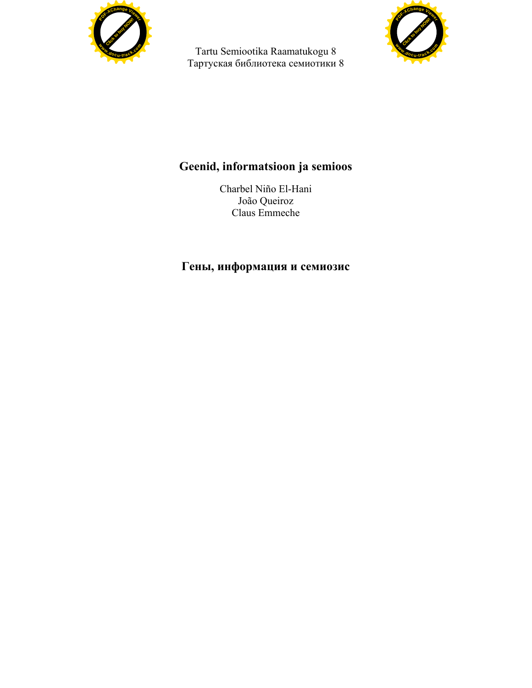

Tartu Semiootika Raamatukogu 8 Тартуская библиотека семиотики 8



## **Geenid, informatsioon ja semioos**

Charbel Niño El-Hani João Queiroz Claus Emmeche

## **Гены, информация и семиозис**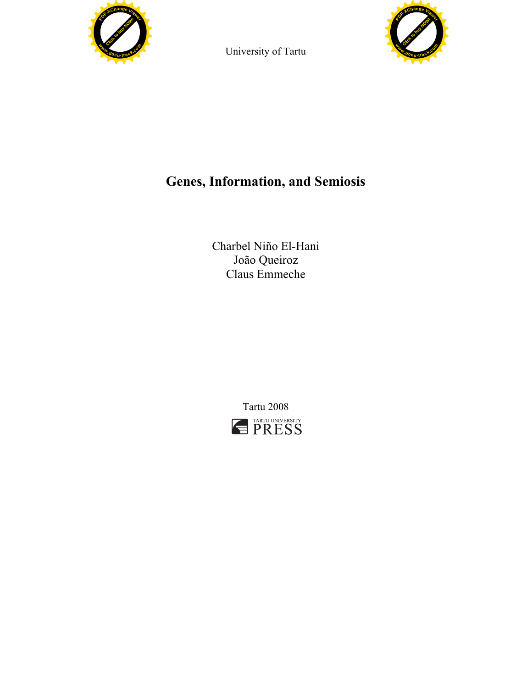

University of Tartu



# **Genes, Information, and Semiosis**

Charbel Niño El-Hani João Queiroz Claus Emmeche

> Tartu 2008 **FARTU UNIVERSITY**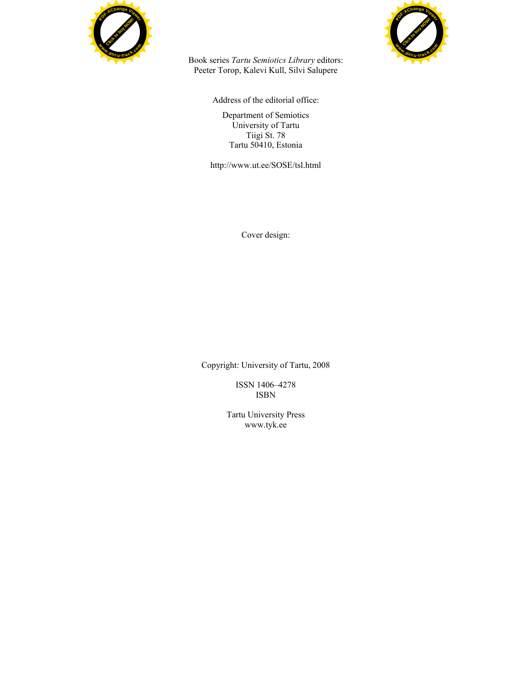



Book series *Tartu Semiotics Library* editors: Peeter Torop, Kalevi Kull, Silvi Salupere

Address of the editorial office:

Department of Semiotics University of Tartu Tiigi St. 78 Tartu 50410, Estonia

http://www.ut.ee/SOSE/tsl.html

Cover design:

Copyright: University of Tartu, 2008

ISSN 1406–4278 ISBN

Tartu University Press www.tyk.ee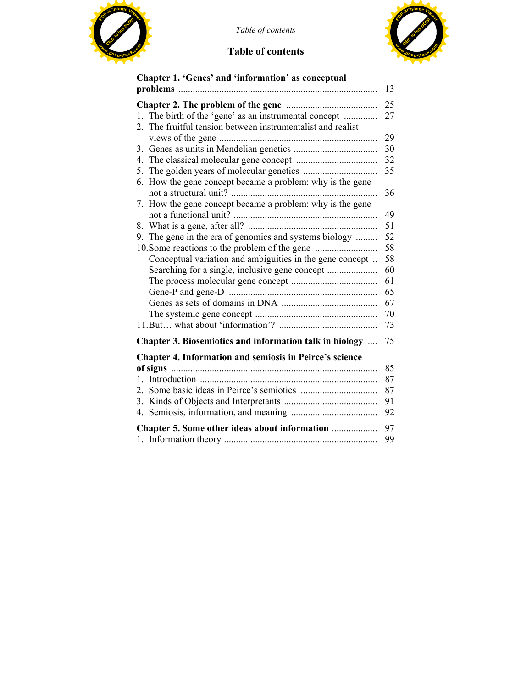

 $Table of contents$ 

## **Table of contents**



| Chapter 1. 'Genes' and 'information' as conceptual             |    |
|----------------------------------------------------------------|----|
|                                                                | 13 |
|                                                                | 25 |
| 1. The birth of the 'gene' as an instrumental concept          | 27 |
| The fruitful tension between instrumentalist and realist<br>2. |    |
|                                                                | 29 |
|                                                                | 30 |
|                                                                | 32 |
|                                                                | 35 |
| 6. How the gene concept became a problem: why is the gene      | 36 |
| 7. How the gene concept became a problem: why is the gene      |    |
|                                                                | 49 |
|                                                                | 51 |
| 9. The gene in the era of genomics and systems biology         | 52 |
|                                                                | 58 |
| Conceptual variation and ambiguities in the gene concept       | 58 |
|                                                                | 60 |
|                                                                | 61 |
|                                                                | 65 |
|                                                                | 67 |
|                                                                | 70 |
|                                                                | 73 |
| Chapter 3. Biosemiotics and information talk in biology        | 75 |
| <b>Chapter 4. Information and semiosis in Peirce's science</b> |    |
|                                                                | 85 |
|                                                                | 87 |
|                                                                | 87 |
|                                                                | 91 |
|                                                                | 92 |
| Chapter 5. Some other ideas about information                  | 97 |
|                                                                | 99 |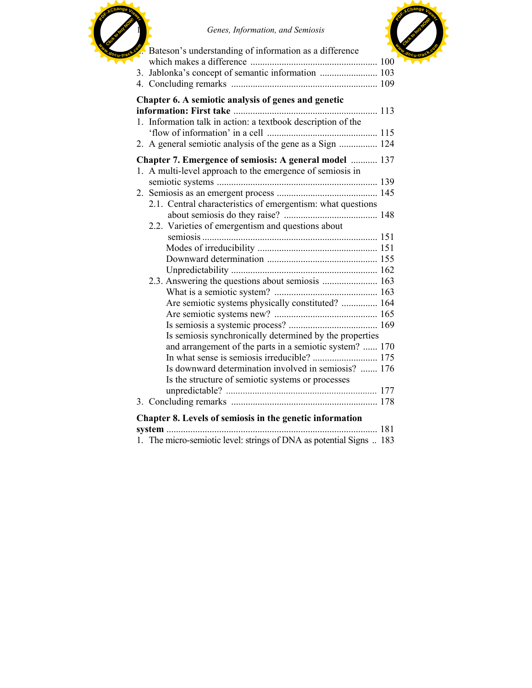

10 *Genes, Information, and Semiosis*



| Chapter 6. A semiotic analysis of genes and genetic                 |       |
|---------------------------------------------------------------------|-------|
|                                                                     |       |
| 1. Information talk in action: a textbook description of the        |       |
|                                                                     |       |
| 2. A general semiotic analysis of the gene as a Sign  124           |       |
| Chapter 7. Emergence of semiosis: A general model  137              |       |
| 1. A multi-level approach to the emergence of semiosis in           |       |
|                                                                     |       |
|                                                                     |       |
| 2.1. Central characteristics of emergentism: what questions         |       |
|                                                                     |       |
| 2.2. Varieties of emergentism and questions about                   |       |
|                                                                     |       |
|                                                                     |       |
|                                                                     |       |
|                                                                     |       |
|                                                                     |       |
|                                                                     |       |
| Are semiotic systems physically constituted?  164                   |       |
|                                                                     |       |
|                                                                     |       |
| Is semiosis synchronically determined by the properties             |       |
| and arrangement of the parts in a semiotic system?  170             |       |
|                                                                     |       |
| Is downward determination involved in semiosis?  176                |       |
| Is the structure of semiotic systems or processes                   |       |
|                                                                     |       |
|                                                                     |       |
| Chapter 8. Levels of semiosis in the genetic information            |       |
|                                                                     | . 181 |
| 1. The micro-semiotic level: strings of DNA as potential Signs  183 |       |
|                                                                     |       |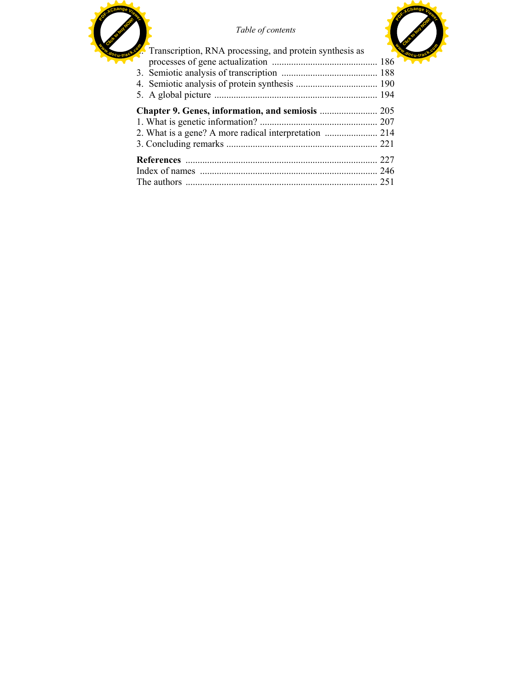



| Transcription, RNA processing, and protein synthesis as |  |
|---------------------------------------------------------|--|
|                                                         |  |
|                                                         |  |
|                                                         |  |
|                                                         |  |
|                                                         |  |
|                                                         |  |
|                                                         |  |
|                                                         |  |
|                                                         |  |
|                                                         |  |
|                                                         |  |

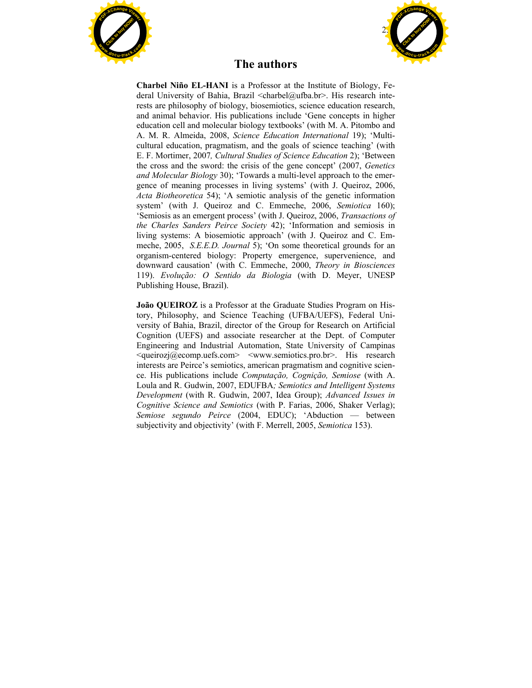



#### **The authors**

**Charbel Niño EL-HANI** is a Professor at the Institute of Biology, Federal University of Bahia, Brazil <charbel@ufba.br>. His research interests are philosophy of biology, biosemiotics, science education research, and animal behavior. His publications include 'Gene concepts in higher education cell and molecular biology textbooks' (with M. A. Pitombo and A. M. R. Almeida, 2008, *Science Education International* 19); 'Multicultural education, pragmatism, and the goals of science teaching' (with E. F. Mortimer, 2007*, Cultural Studies of Science Education* 2); 'Between the cross and the sword: the crisis of the gene concept' (2007, *Genetics and Molecular Biology* 30); 'Towards a multi-level approach to the emergence of meaning processes in living systems' (with J. Queiroz, 2006, *Acta Biotheoretica* 54); 'A semiotic analysis of the genetic information system' (with J. Queiroz and C. Emmeche, 2006, *Semiotica* 160); 'Semiosis as an emergent process' (with J. Queiroz, 2006, *Transactions of the Charles Sanders Peirce Society* 42); 'Information and semiosis in living systems: A biosemiotic approach' (with J. Queiroz and C. Emmeche, 2005, *S.E.E.D. Journal* 5); 'On some theoretical grounds for an organism-centered biology: Property emergence, supervenience, and downward causation' (with C. Emmeche, 2000, *Theory in Biosciences* 119). *Evolução: O Sentido da Biologia* (with D. Meyer, UNESP Publishing House, Brazil).

**João QUEIROZ** is a Professor at the Graduate Studies Program on History, Philosophy, and Science Teaching (UFBA/UEFS), Federal University of Bahia, Brazil, director of the Group for Research on Artificial Cognition (UEFS) and associate researcher at the Dept. of Computer Engineering and Industrial Automation, State University of Campinas  $\leq$ queirozj $\omega$ ecomp.uefs.com>  $\leq$ www.semiotics.pro.br>. His research interests are Peirce's semiotics, american pragmatism and cognitive science. His publications include *Computação, Cognição, Semiose* (with A. Loula and R. Gudwin, 2007, EDUFBA*; Semiotics and Intelligent Systems Development* (with R. Gudwin, 2007, Idea Group); *Advanced Issues in Cognitive Science and Semiotics* (with P. Farias, 2006, Shaker Verlag); *Semiose segundo Peirce* (2004, EDUC); 'Abduction — between subjectivity and objectivity' (with F. Merrell, 2005, *Semiotica* 153).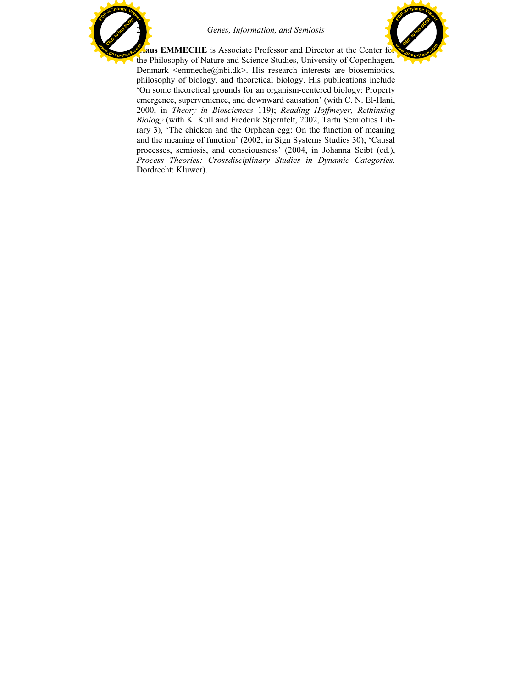

Click to buy Now! **<sup>P</sup>DF-XCha<sup>n</sup>g<sup>e</sup> <sup>V</sup>iewe<sup>r</sup> <sup>w</sup>ww.docu-track.c<sup>o</sup> <sup>m</sup>**

**Aus EMMECHE** is Associate Professor and Director at the Center for the Philosophy of Nature and Science Studies, University of Copenhagen, Denmark  $\leq$ emmeche $\omega$ nbi.dk>. His research interests are biosemiotics, philosophy of biology, and theoretical biology. His publications include 'On some theoretical grounds for an organism-centered biology: Property emergence, supervenience, and downward causation' (with C. N. El-Hani, 2000, in *Theory in Biosciences* 119); *Reading Hoffmeyer, Rethinking Biology* (with K. Kull and Frederik Stjernfelt, 2002, Tartu Semiotics Library 3), 'The chicken and the Orphean egg: On the function of meaning and the meaning of function' (2002, in Sign Systems Studies 30); 'Causal processes, semiosis, and consciousness' (2004, in Johanna Seibt (ed.), *Process Theories: Crossdisciplinary Studies in Dynamic Categories.* Dordrecht: Kluwer).